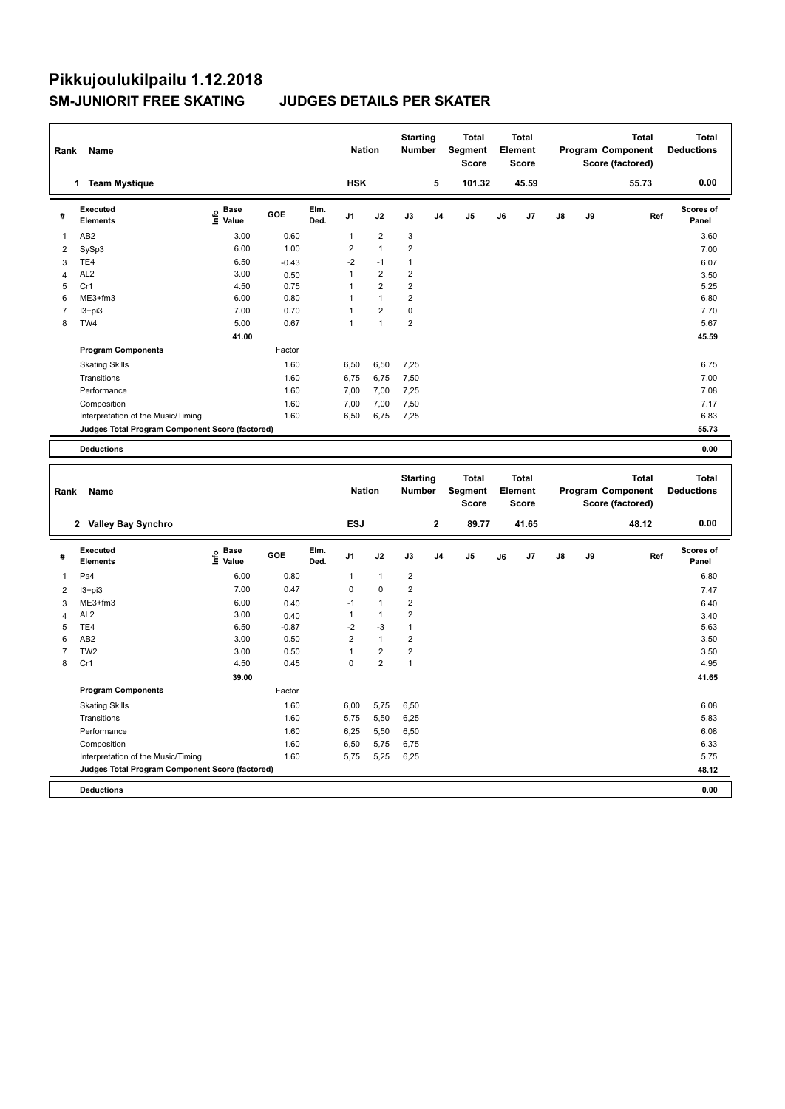# **Pikkujoulukilpailu 1.12.2018 SM-JUNIORIT FREE SKATING JUDGES DETAILS PER SKATER**

| Rank                    | Name                                            |                                           |         |              | <b>Nation</b>  |                         | <b>Starting</b><br>Number        |                | <b>Total</b><br>Segment<br>Score        |    | <b>Total</b><br>Element<br>Score        |    |    | <b>Total</b><br>Program Component<br>Score (factored) | <b>Total</b><br><b>Deductions</b> |
|-------------------------|-------------------------------------------------|-------------------------------------------|---------|--------------|----------------|-------------------------|----------------------------------|----------------|-----------------------------------------|----|-----------------------------------------|----|----|-------------------------------------------------------|-----------------------------------|
|                         | 1 Team Mystique                                 |                                           |         |              | <b>HSK</b>     |                         |                                  | 5              | 101.32                                  |    | 45.59                                   |    |    | 55.73                                                 | 0.00                              |
| #                       | Executed<br><b>Elements</b>                     | $\frac{e}{E}$ Base<br>$\frac{e}{E}$ Value | GOE     | Elm.<br>Ded. | J1             | J2                      | J3                               | J <sub>4</sub> | J <sub>5</sub>                          | J6 | J7                                      | J8 | J9 | Ref                                                   | <b>Scores of</b><br>Panel         |
| 1                       | AB <sub>2</sub>                                 | 3.00                                      | 0.60    |              | 1              | $\overline{2}$          | 3                                |                |                                         |    |                                         |    |    |                                                       | 3.60                              |
| $\overline{\mathbf{c}}$ | SySp3                                           | 6.00                                      | 1.00    |              | $\overline{2}$ | $\mathbf{1}$            | 2                                |                |                                         |    |                                         |    |    |                                                       | 7.00                              |
| 3                       | TE4                                             | 6.50                                      | $-0.43$ |              | $-2$           | $-1$                    | 1                                |                |                                         |    |                                         |    |    |                                                       | 6.07                              |
| 4                       | AL <sub>2</sub>                                 | 3.00                                      | 0.50    |              | $\mathbf{1}$   | $\overline{2}$          | 2                                |                |                                         |    |                                         |    |    |                                                       | 3.50                              |
| 5                       | Cr1                                             | 4.50                                      | 0.75    |              | 1              | $\overline{2}$          | $\overline{2}$                   |                |                                         |    |                                         |    |    |                                                       | 5.25                              |
| 6                       | ME3+fm3                                         | 6.00                                      | 0.80    |              | 1              | $\mathbf{1}$            | $\overline{2}$                   |                |                                         |    |                                         |    |    |                                                       | 6.80                              |
| $\overline{7}$          | $13 + pi3$                                      | 7.00                                      | 0.70    |              | 1              | $\overline{2}$          | $\pmb{0}$                        |                |                                         |    |                                         |    |    |                                                       | 7.70                              |
| 8                       | TW4                                             | 5.00                                      | 0.67    |              | $\mathbf{1}$   | $\mathbf{1}$            | $\overline{2}$                   |                |                                         |    |                                         |    |    |                                                       | 5.67                              |
|                         |                                                 | 41.00                                     |         |              |                |                         |                                  |                |                                         |    |                                         |    |    |                                                       | 45.59                             |
|                         | <b>Program Components</b>                       |                                           | Factor  |              |                |                         |                                  |                |                                         |    |                                         |    |    |                                                       |                                   |
|                         | <b>Skating Skills</b>                           |                                           | 1.60    |              | 6,50           | 6,50                    | 7,25                             |                |                                         |    |                                         |    |    |                                                       | 6.75                              |
|                         | Transitions                                     |                                           | 1.60    |              | 6,75           | 6,75                    | 7,50                             |                |                                         |    |                                         |    |    |                                                       | 7.00                              |
|                         | Performance                                     |                                           | 1.60    |              | 7,00           | 7,00                    | 7,25                             |                |                                         |    |                                         |    |    |                                                       | 7.08                              |
|                         | Composition                                     |                                           | 1.60    |              | 7,00           | 7,00                    | 7,50                             |                |                                         |    |                                         |    |    |                                                       | 7.17                              |
|                         | Interpretation of the Music/Timing              |                                           | 1.60    |              | 6,50           | 6,75                    | 7,25                             |                |                                         |    |                                         |    |    |                                                       | 6.83                              |
|                         | Judges Total Program Component Score (factored) |                                           |         |              |                |                         |                                  |                |                                         |    |                                         |    |    |                                                       | 55.73                             |
|                         | <b>Deductions</b>                               |                                           |         |              |                |                         |                                  |                |                                         |    |                                         |    |    |                                                       | 0.00                              |
|                         |                                                 |                                           |         |              |                |                         |                                  |                |                                         |    |                                         |    |    |                                                       |                                   |
| Rank                    | Name                                            |                                           |         |              | <b>Nation</b>  |                         | <b>Starting</b><br><b>Number</b> |                | <b>Total</b><br>Segment<br><b>Score</b> |    | <b>Total</b><br>Element<br><b>Score</b> |    |    | <b>Total</b><br>Program Component<br>Score (factored) | <b>Total</b><br><b>Deductions</b> |
|                         | 2 Valley Bay Synchro                            |                                           |         |              | <b>ESJ</b>     |                         |                                  | $\mathbf 2$    | 89.77                                   |    | 41.65                                   |    |    | 48.12                                                 | 0.00                              |
| #                       | <b>Executed</b><br><b>Elements</b>              | $\overset{\circ}{\text{E}}$ Value         | GOE     | Elm.<br>Ded. | J1             | J2                      | J3                               | J <sub>4</sub> | J5                                      | J6 | J7                                      | J8 | J9 | Ref                                                   | <b>Scores of</b><br>Panel         |
| 1                       | Pa4                                             | 6.00                                      | 0.80    |              | 1              | 1                       | $\overline{2}$                   |                |                                         |    |                                         |    |    |                                                       | 6.80                              |
| 2                       | $13 + pi3$                                      | 7.00                                      | 0.47    |              | 0              | $\mathbf 0$             | $\overline{2}$                   |                |                                         |    |                                         |    |    |                                                       | 7.47                              |
| 3                       | ME3+fm3                                         | 6.00                                      | 0.40    |              | $-1$           | $\mathbf{1}$            | 2                                |                |                                         |    |                                         |    |    |                                                       | 6.40                              |
| $\overline{4}$          | AL <sub>2</sub>                                 | 3.00                                      | 0.40    |              | $\mathbf{1}$   | 1                       | $\mathbf 2$                      |                |                                         |    |                                         |    |    |                                                       | 3.40                              |
| 5                       | TE4                                             | 6.50                                      | $-0.87$ |              | $-2$           | $-3$                    | 1                                |                |                                         |    |                                         |    |    |                                                       | 5.63                              |
| 6                       | AB <sub>2</sub>                                 | 3.00                                      | 0.50    |              | $\overline{2}$ | $\mathbf{1}$            | $\overline{2}$                   |                |                                         |    |                                         |    |    |                                                       | 3.50                              |
| $\overline{7}$          | TW <sub>2</sub>                                 | 3.00                                      | 0.50    |              | $\mathbf{1}$   | $\overline{\mathbf{c}}$ | $\overline{2}$                   |                |                                         |    |                                         |    |    |                                                       | 3.50                              |
| 8                       | Cr1                                             | 4.50                                      | 0.45    |              | 0              | $\overline{2}$          | $\mathbf{1}$                     |                |                                         |    |                                         |    |    |                                                       | 4.95                              |
|                         |                                                 | 39.00                                     |         |              |                |                         |                                  |                |                                         |    |                                         |    |    |                                                       | 41.65                             |
|                         | <b>Program Components</b>                       |                                           | Factor  |              |                |                         |                                  |                |                                         |    |                                         |    |    |                                                       |                                   |
|                         | <b>Skating Skills</b>                           |                                           | 1.60    |              | 6,00           | 5,75                    | 6,50                             |                |                                         |    |                                         |    |    |                                                       | 6.08                              |
|                         | Transitions                                     |                                           | 1.60    |              | 5,75           | 5,50                    | 6,25                             |                |                                         |    |                                         |    |    |                                                       | 5.83                              |
|                         | Performance                                     |                                           | 1.60    |              | 6,25           | 5,50                    | 6,50                             |                |                                         |    |                                         |    |    |                                                       | 6.08                              |
|                         | Composition                                     |                                           | 1.60    |              | 6,50           | 5,75                    | 6,75                             |                |                                         |    |                                         |    |    |                                                       | 6.33                              |
|                         | Interpretation of the Music/Timing              |                                           |         |              |                |                         |                                  |                |                                         |    |                                         |    |    |                                                       |                                   |
|                         |                                                 |                                           | 1.60    |              | 5,75           | 5,25                    | 6,25                             |                |                                         |    |                                         |    |    |                                                       | 5.75                              |
|                         | Judges Total Program Component Score (factored) |                                           |         |              |                |                         |                                  |                |                                         |    |                                         |    |    |                                                       | 48.12                             |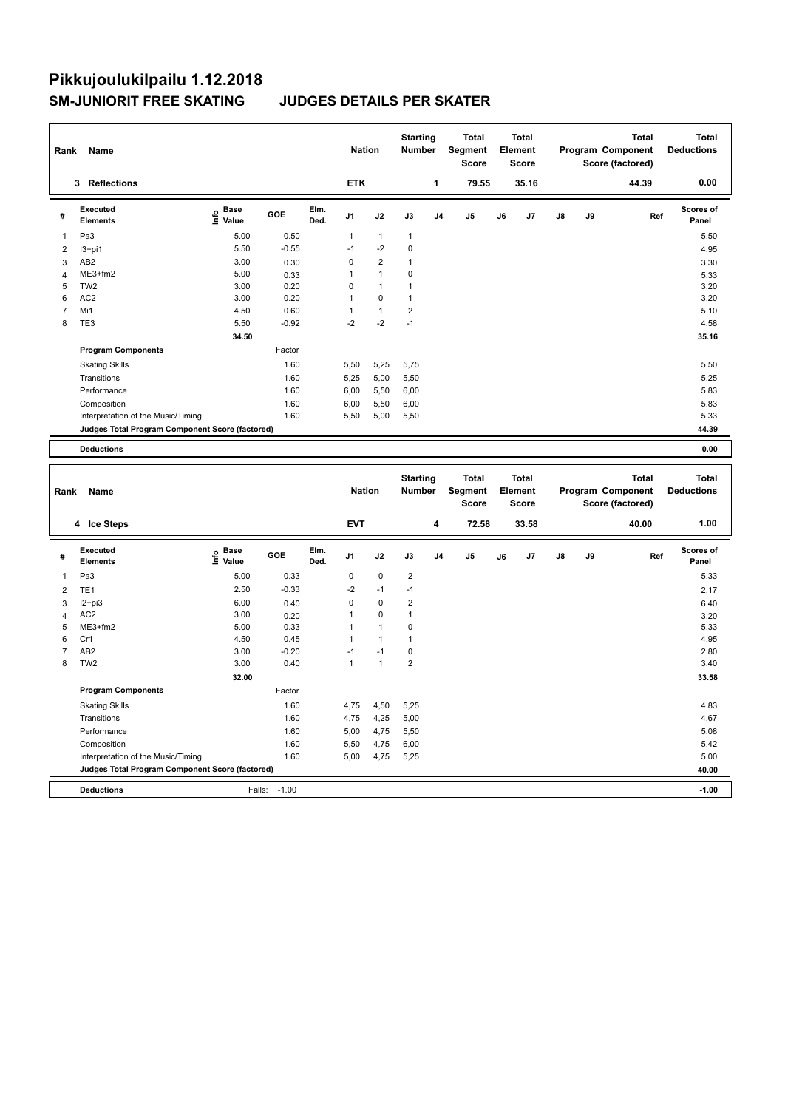# **Pikkujoulukilpailu 1.12.2018 SM-JUNIORIT FREE SKATING JUDGES DETAILS PER SKATER**

| Rank                | Name                                                   |                                           |              |              | <b>Nation</b>               |                  | <b>Starting</b><br><b>Number</b>        |                | <b>Total</b><br>Segment<br><b>Score</b> |    | Total<br>Element<br><b>Score</b>        |    |    | <b>Total</b><br>Program Component<br>Score (factored) | <b>Total</b><br><b>Deductions</b> |
|---------------------|--------------------------------------------------------|-------------------------------------------|--------------|--------------|-----------------------------|------------------|-----------------------------------------|----------------|-----------------------------------------|----|-----------------------------------------|----|----|-------------------------------------------------------|-----------------------------------|
|                     | 3 Reflections                                          |                                           |              |              | <b>ETK</b>                  |                  |                                         | 1              | 79.55                                   |    | 35.16                                   |    |    | 44.39                                                 | 0.00                              |
| #                   | <b>Executed</b><br><b>Elements</b>                     | $\frac{e}{E}$ Base<br>$\frac{e}{E}$ Value | GOE          | Elm.<br>Ded. | J1                          | J2               | $\mathsf{J3}$                           | J4             | J5                                      | J6 | J7                                      | J8 | J9 | Ref                                                   | Scores of<br>Panel                |
| 1                   | Pa3                                                    | 5.00                                      | 0.50         |              | $\mathbf{1}$                | $\mathbf{1}$     | $\mathbf{1}$                            |                |                                         |    |                                         |    |    |                                                       | 5.50                              |
| $\overline{2}$      | $13+pi1$                                               | 5.50                                      | $-0.55$      |              | $-1$                        | $-2$             | 0                                       |                |                                         |    |                                         |    |    |                                                       | 4.95                              |
| 3                   | AB <sub>2</sub>                                        | 3.00                                      | 0.30         |              | $\mathbf 0$                 | $\overline{2}$   | $\mathbf{1}$                            |                |                                         |    |                                         |    |    |                                                       | 3.30                              |
| $\overline{4}$      | ME3+fm2                                                | 5.00                                      | 0.33         |              | $\mathbf{1}$                | $\mathbf{1}$     | 0                                       |                |                                         |    |                                         |    |    |                                                       | 5.33                              |
| 5                   | TW <sub>2</sub>                                        | 3.00                                      | 0.20         |              | $\mathsf 0$                 | $\mathbf{1}$     | $\mathbf{1}$                            |                |                                         |    |                                         |    |    |                                                       | 3.20                              |
| 6                   | AC <sub>2</sub>                                        | 3.00                                      | 0.20         |              | $\mathbf{1}$                | 0                | $\mathbf{1}$                            |                |                                         |    |                                         |    |    |                                                       | 3.20                              |
| $\overline{7}$      | Mi1                                                    | 4.50                                      | 0.60         |              | $\mathbf{1}$                | $\mathbf{1}$     | $\overline{\mathbf{c}}$                 |                |                                         |    |                                         |    |    |                                                       | 5.10                              |
| 8                   | TE <sub>3</sub>                                        | 5.50                                      | $-0.92$      |              | $-2$                        | $-2$             | $-1$                                    |                |                                         |    |                                         |    |    |                                                       | 4.58                              |
|                     |                                                        | 34.50                                     |              |              |                             |                  |                                         |                |                                         |    |                                         |    |    |                                                       | 35.16                             |
|                     | <b>Program Components</b>                              |                                           | Factor       |              |                             |                  |                                         |                |                                         |    |                                         |    |    |                                                       |                                   |
|                     | <b>Skating Skills</b>                                  |                                           | 1.60         |              | 5,50                        | 5,25             | 5,75                                    |                |                                         |    |                                         |    |    |                                                       | 5.50                              |
|                     | Transitions                                            |                                           | 1.60         |              | 5,25                        | 5,00             | 5,50                                    |                |                                         |    |                                         |    |    |                                                       | 5.25                              |
|                     | Performance                                            |                                           | 1.60         |              | 6,00                        | 5,50             | 6,00                                    |                |                                         |    |                                         |    |    |                                                       | 5.83                              |
|                     | Composition                                            |                                           | 1.60         |              | 6,00                        | 5,50             | 6,00                                    |                |                                         |    |                                         |    |    |                                                       | 5.83                              |
|                     | Interpretation of the Music/Timing                     |                                           | 1.60         |              | 5,50                        | 5,00             | 5,50                                    |                |                                         |    |                                         |    |    |                                                       | 5.33                              |
|                     | <b>Judges Total Program Component Score (factored)</b> |                                           |              |              |                             |                  |                                         |                |                                         |    |                                         |    |    |                                                       | 44.39                             |
|                     | <b>Deductions</b>                                      |                                           |              |              |                             |                  |                                         |                |                                         |    |                                         |    |    |                                                       | 0.00                              |
|                     |                                                        |                                           |              |              |                             |                  |                                         |                |                                         |    |                                         |    |    |                                                       |                                   |
|                     |                                                        |                                           |              |              |                             |                  |                                         |                |                                         |    |                                         |    |    |                                                       |                                   |
| Rank                | Name                                                   |                                           |              |              | <b>Nation</b>               |                  | <b>Starting</b><br><b>Number</b>        |                | <b>Total</b><br>Segment<br><b>Score</b> |    | <b>Total</b><br>Element<br><b>Score</b> |    |    | <b>Total</b><br>Program Component<br>Score (factored) | <b>Total</b><br><b>Deductions</b> |
|                     | 4 Ice Steps                                            |                                           |              |              | <b>EVT</b>                  |                  |                                         | 4              | 72.58                                   |    | 33.58                                   |    |    | 40.00                                                 | 1.00                              |
| #                   | <b>Executed</b><br><b>Elements</b>                     | $\epsilon$ Base<br>$\epsilon$ Value       | GOE          | Elm.<br>Ded. | J1                          | J2               | J3                                      | J <sub>4</sub> | J <sub>5</sub>                          | J6 | J7                                      | J8 | J9 | Ref                                                   | <b>Scores of</b><br>Panel         |
|                     |                                                        |                                           |              |              |                             |                  |                                         |                |                                         |    |                                         |    |    |                                                       |                                   |
| $\mathbf{1}$        | Pa <sub>3</sub>                                        | 5.00                                      | 0.33         |              | 0                           | 0                | $\overline{\mathbf{c}}$                 |                |                                         |    |                                         |    |    |                                                       | 5.33                              |
| $\overline{2}$      | TE <sub>1</sub>                                        | 2.50                                      | $-0.33$      |              | $-2$                        | $-1$<br>$\Omega$ | $-1$                                    |                |                                         |    |                                         |    |    |                                                       | 2.17                              |
| 3<br>$\overline{4}$ | $12+pi3$<br>AC <sub>2</sub>                            | 6.00<br>3.00                              | 0.40         |              | $\mathsf 0$<br>$\mathbf{1}$ | $\pmb{0}$        | $\overline{\mathbf{c}}$<br>$\mathbf{1}$ |                |                                         |    |                                         |    |    |                                                       | 6.40                              |
| 5                   | ME3+fm2                                                | 5.00                                      | 0.20<br>0.33 |              | $\mathbf{1}$                | $\mathbf{1}$     | 0                                       |                |                                         |    |                                         |    |    |                                                       | 3.20<br>5.33                      |
| 6                   | Cr1                                                    | 4.50                                      | 0.45         |              | $\mathbf{1}$                | 1                | $\mathbf{1}$                            |                |                                         |    |                                         |    |    |                                                       | 4.95                              |
| $\overline{7}$      | AB <sub>2</sub>                                        | 3.00                                      | $-0.20$      |              | $-1$                        | $-1$             | 0                                       |                |                                         |    |                                         |    |    |                                                       | 2.80                              |
| 8                   | TW <sub>2</sub>                                        | 3.00                                      | 0.40         |              | $\mathbf{1}$                | $\mathbf{1}$     | $\overline{2}$                          |                |                                         |    |                                         |    |    |                                                       | 3.40                              |
|                     |                                                        | 32.00                                     |              |              |                             |                  |                                         |                |                                         |    |                                         |    |    |                                                       | 33.58                             |
|                     | <b>Program Components</b>                              |                                           | Factor       |              |                             |                  |                                         |                |                                         |    |                                         |    |    |                                                       |                                   |
|                     | <b>Skating Skills</b>                                  |                                           | 1.60         |              | 4,75                        | 4,50             | 5,25                                    |                |                                         |    |                                         |    |    |                                                       | 4.83                              |
|                     | Transitions                                            |                                           | 1.60         |              | 4,75                        | 4,25             | 5,00                                    |                |                                         |    |                                         |    |    |                                                       | 4.67                              |
|                     | Performance                                            |                                           | 1.60         |              | 5,00                        | 4,75             | 5,50                                    |                |                                         |    |                                         |    |    |                                                       | 5.08                              |
|                     | Composition                                            |                                           | 1.60         |              | 5,50                        | 4,75             | 6,00                                    |                |                                         |    |                                         |    |    |                                                       | 5.42                              |
|                     | Interpretation of the Music/Timing                     |                                           | 1.60         |              | 5,00                        | 4,75             | 5,25                                    |                |                                         |    |                                         |    |    |                                                       | 5.00                              |
|                     | Judges Total Program Component Score (factored)        |                                           |              |              |                             |                  |                                         |                |                                         |    |                                         |    |    |                                                       | 40.00                             |
|                     | <b>Deductions</b>                                      | Falls:                                    | $-1.00$      |              |                             |                  |                                         |                |                                         |    |                                         |    |    |                                                       | $-1.00$                           |